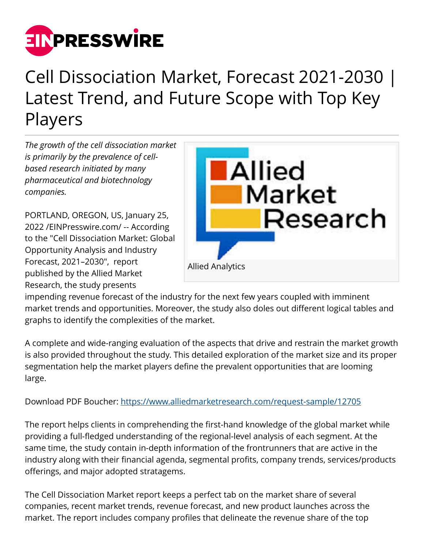

## Cell Dissociation Market, Forecast 2021-2030 | Latest Trend, and Future Scope with Top Key Players

*The growth of the cell dissociation market is primarily by the prevalence of cellbased research initiated by many pharmaceutical and biotechnology companies.*

PORTLAND, OREGON, US, January 25, 2022 /[EINPresswire.com](http://www.einpresswire.com)/ -- According to the "Cell Dissociation Market: Global Opportunity Analysis and Industry Forecast, 2021–2030", report published by the Allied Market Research, the study presents



impending revenue forecast of the industry for the next few years coupled with imminent market trends and opportunities. Moreover, the study also doles out different logical tables and graphs to identify the complexities of the market.

A complete and wide-ranging evaluation of the aspects that drive and restrain the market growth is also provided throughout the study. This detailed exploration of the market size and its proper segmentation help the market players define the prevalent opportunities that are looming large.

Download PDF Boucher:<https://www.alliedmarketresearch.com/request-sample/12705>

The report helps clients in comprehending the first-hand knowledge of the global market while providing a full-fledged understanding of the regional-level analysis of each segment. At the same time, the study contain in-depth information of the frontrunners that are active in the industry along with their financial agenda, segmental profits, company trends, services/products offerings, and major adopted stratagems.

The Cell Dissociation Market report keeps a perfect tab on the market share of several companies, recent market trends, revenue forecast, and new product launches across the market. The report includes company profiles that delineate the revenue share of the top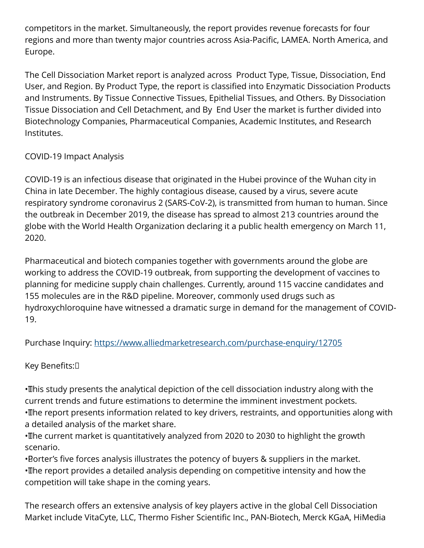competitors in the market. Simultaneously, the report provides revenue forecasts for four regions and more than twenty major countries across Asia-Pacific, LAMEA. North America, and Europe.

The Cell Dissociation Market report is analyzed across Product Type, Tissue, Dissociation, End User, and Region. By Product Type, the report is classified into Enzymatic Dissociation Products and Instruments. By Tissue Connective Tissues, Epithelial Tissues, and Others. By Dissociation Tissue Dissociation and Cell Detachment, and By End User the market is further divided into Biotechnology Companies, Pharmaceutical Companies, Academic Institutes, and Research Institutes.

## COVID-19 Impact Analysis

COVID-19 is an infectious disease that originated in the Hubei province of the Wuhan city in China in late December. The highly contagious disease, caused by a virus, severe acute respiratory syndrome coronavirus 2 (SARS-CoV-2), is transmitted from human to human. Since the outbreak in December 2019, the disease has spread to almost 213 countries around the globe with the World Health Organization declaring it a public health emergency on March 11, 2020.

Pharmaceutical and biotech companies together with governments around the globe are working to address the COVID-19 outbreak, from supporting the development of vaccines to planning for medicine supply chain challenges. Currently, around 115 vaccine candidates and 155 molecules are in the R&D pipeline. Moreover, commonly used drugs such as hydroxychloroquine have witnessed a dramatic surge in demand for the management of COVID-19.

Purchase Inquiry:<https://www.alliedmarketresearch.com/purchase-enquiry/12705>

## Key Benefits:

• This study presents the analytical depiction of the cell dissociation industry along with the current trends and future estimations to determine the imminent investment pockets. • The report presents information related to key drivers, restraints, and opportunities along with a detailed analysis of the market share.

• The current market is quantitatively analyzed from 2020 to 2030 to highlight the growth scenario.

• Borter's five forces analysis illustrates the potency of buyers & suppliers in the market. • The report provides a detailed analysis depending on competitive intensity and how the competition will take shape in the coming years.

The research offers an extensive analysis of key players active in the global Cell Dissociation Market include VitaCyte, LLC, Thermo Fisher Scientific Inc., PAN-Biotech, Merck KGaA, HiMedia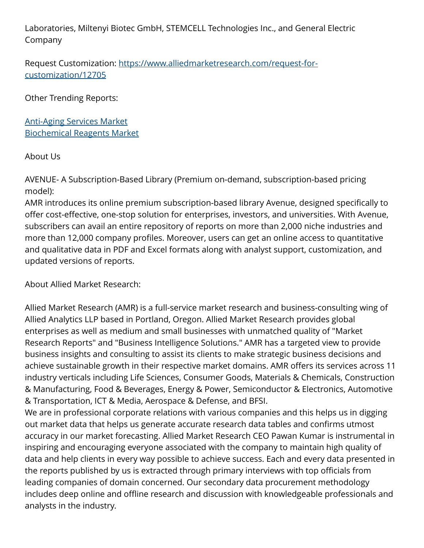Laboratories, Miltenyi Biotec GmbH, STEMCELL Technologies Inc., and General Electric Company

Request Customization: [https://www.alliedmarketresearch.com/request-for](https://www.alliedmarketresearch.com/request-for-customization/12705)[customization/12705](https://www.alliedmarketresearch.com/request-for-customization/12705)

Other Trending Reports:

[Anti-Aging Services Market](https://www.alliedmarketresearch.com/anti-aging-services-market-A12341) [Biochemical Reagents Market](https://www.alliedmarketresearch.com/biochemical-reagents-market-A12339)

About Us

AVENUE- A Subscription-Based Library (Premium on-demand, subscription-based pricing model):

AMR introduces its online premium subscription-based library Avenue, designed specifically to offer cost-effective, one-stop solution for enterprises, investors, and universities. With Avenue, subscribers can avail an entire repository of reports on more than 2,000 niche industries and more than 12,000 company profiles. Moreover, users can get an online access to quantitative and qualitative data in PDF and Excel formats along with analyst support, customization, and updated versions of reports.

About Allied Market Research:

Allied Market Research (AMR) is a full-service market research and business-consulting wing of Allied Analytics LLP based in Portland, Oregon. Allied Market Research provides global enterprises as well as medium and small businesses with unmatched quality of "Market Research Reports" and "Business Intelligence Solutions." AMR has a targeted view to provide business insights and consulting to assist its clients to make strategic business decisions and achieve sustainable growth in their respective market domains. AMR offers its services across 11 industry verticals including Life Sciences, Consumer Goods, Materials & Chemicals, Construction & Manufacturing, Food & Beverages, Energy & Power, Semiconductor & Electronics, Automotive & Transportation, ICT & Media, Aerospace & Defense, and BFSI.

We are in professional corporate relations with various companies and this helps us in digging out market data that helps us generate accurate research data tables and confirms utmost accuracy in our market forecasting. Allied Market Research CEO Pawan Kumar is instrumental in inspiring and encouraging everyone associated with the company to maintain high quality of data and help clients in every way possible to achieve success. Each and every data presented in the reports published by us is extracted through primary interviews with top officials from leading companies of domain concerned. Our secondary data procurement methodology includes deep online and offline research and discussion with knowledgeable professionals and analysts in the industry.